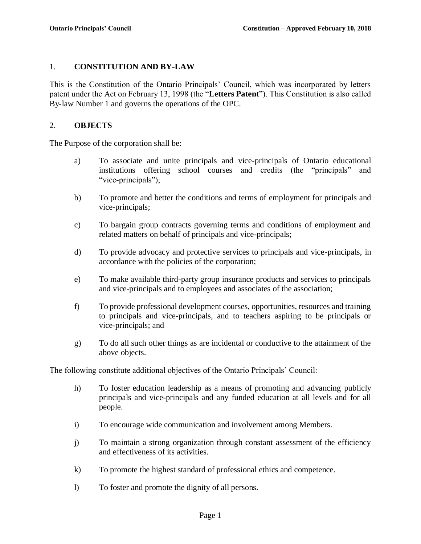### 1. **CONSTITUTION AND BY-LAW**

This is the Constitution of the Ontario Principals' Council, which was incorporated by letters patent under the Act on February 13, 1998 (the "**Letters Patent**"). This Constitution is also called By-law Number 1 and governs the operations of the OPC.

### 2. **OBJECTS**

The Purpose of the corporation shall be:

- a) To associate and unite principals and vice-principals of Ontario educational institutions offering school courses and credits (the "principals" and "vice-principals");
- b) To promote and better the conditions and terms of employment for principals and vice-principals;
- c) To bargain group contracts governing terms and conditions of employment and related matters on behalf of principals and vice-principals;
- d) To provide advocacy and protective services to principals and vice-principals, in accordance with the policies of the corporation;
- e) To make available third-party group insurance products and services to principals and vice-principals and to employees and associates of the association;
- f) To provide professional development courses, opportunities, resources and training to principals and vice-principals, and to teachers aspiring to be principals or vice-principals; and
- g) To do all such other things as are incidental or conductive to the attainment of the above objects.

The following constitute additional objectives of the Ontario Principals' Council:

- h) To foster education leadership as a means of promoting and advancing publicly principals and vice-principals and any funded education at all levels and for all people.
- i) To encourage wide communication and involvement among Members.
- j) To maintain a strong organization through constant assessment of the efficiency and effectiveness of its activities.
- k) To promote the highest standard of professional ethics and competence.
- l) To foster and promote the dignity of all persons.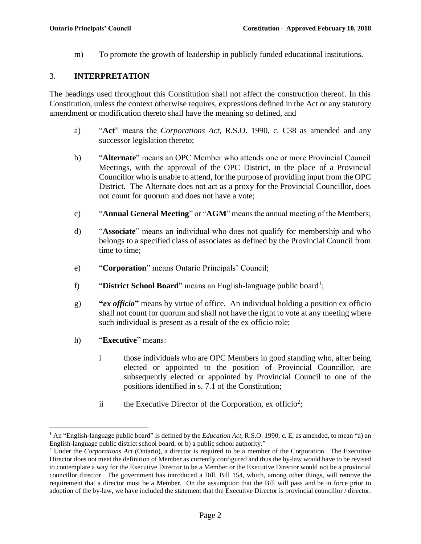m) To promote the growth of leadership in publicly funded educational institutions.

## 3. **INTERPRETATION**

The headings used throughout this Constitution shall not affect the construction thereof. In this Constitution, unless the context otherwise requires, expressions defined in the Act or any statutory amendment or modification thereto shall have the meaning so defined, and

- a) "**Act**" means the *Corporations Act*, R.S.O. 1990, c. C38 as amended and any successor legislation thereto;
- b) "**Alternate**" means an OPC Member who attends one or more Provincial Council Meetings, with the approval of the OPC District, in the place of a Provincial Councillor who is unable to attend, for the purpose of providing input from the OPC District. The Alternate does not act as a proxy for the Provincial Councillor, does not count for quorum and does not have a vote;
- c) "**Annual General Meeting**" or "**AGM**" means the annual meeting of the Members;
- d) "**Associate**" means an individual who does not qualify for membership and who belongs to a specified class of associates as defined by the Provincial Council from time to time;
- e) "**Corporation**" means Ontario Principals' Council;
- f) **The "District School Board**" means an English-language public board<sup>1</sup>;
- g) **"***ex officio***"** means by virtue of office. An individual holding a position ex officio shall not count for quorum and shall not have the right to vote at any meeting where such individual is present as a result of the ex officio role;
- h) "**Executive**" means:

 $\overline{a}$ 

- i those individuals who are OPC Members in good standing who, after being elected or appointed to the position of Provincial Councillor, are subsequently elected or appointed by Provincial Council to one of the positions identified in s. [7.1](#page-9-0) of the Constitution;
- ii the Executive Director of the Corporation, ex officio<sup>2</sup>;

<sup>1</sup> An "English-language public board" is defined by the *Education Act*, R.S.O. 1990, c. E, as amended, to mean "a) an English-language public district school board, or b) a public school authority."

<sup>2</sup> Under the *Corporations Act* (Ontario), a director is required to be a member of the Corporation. The Executive Director does not meet the definition of Member as currently configured and thus the by-law would have to be revised to contemplate a way for the Executive Director to be a Member or the Executive Director would not be a provincial councillor director. The government has introduced a Bill, Bill 154, which, among other things, will remove the requirement that a director must be a Member. On the assumption that the Bill will pass and be in force prior to adoption of the by-law, we have included the statement that the Executive Director is provincial councillor / director.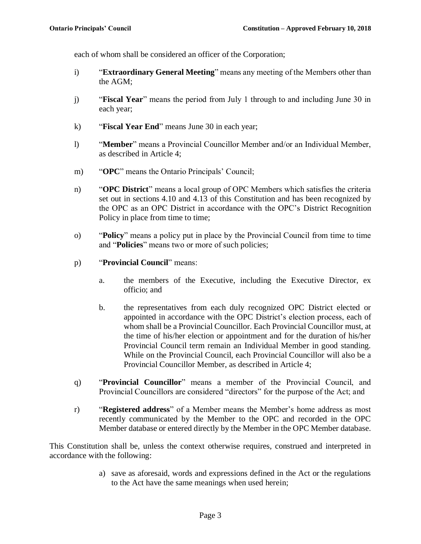each of whom shall be considered an officer of the Corporation;

- i) "**Extraordinary General Meeting**" means any meeting of the Members other than the AGM;
- j) "**Fiscal Year**" means the period from July 1 through to and including June 30 in each year;
- k) "**Fiscal Year End**" means June 30 in each year;
- l) "**Member**" means a Provincial Councillor Member and/or an Individual Member, as described in Article 4;
- m) "**OPC**" means the Ontario Principals' Council;
- n) "**OPC District**" means a local group of OPC Members which satisfies the criteria set out in sections [4.10](#page-5-0) and [4.13](#page-5-1) of this Constitution and has been recognized by the OPC as an OPC District in accordance with the OPC's District Recognition Policy in place from time to time;
- o) "**Policy**" means a policy put in place by the Provincial Council from time to time and "**Policies**" means two or more of such policies;
- p) "**Provincial Council**" means:
	- a. the members of the Executive, including the Executive Director, ex officio; and
	- b. the representatives from each duly recognized OPC District elected or appointed in accordance with the OPC District's election process, each of whom shall be a Provincial Councillor. Each Provincial Councillor must, at the time of his/her election or appointment and for the duration of his/her Provincial Council term remain an Individual Member in good standing. While on the Provincial Council, each Provincial Councillor will also be a Provincial Councillor Member, as described in Article 4;
- q) "**Provincial Councillor**" means a member of the Provincial Council, and Provincial Councillors are considered "directors" for the purpose of the Act; and
- r) "**Registered address**" of a Member means the Member's home address as most recently communicated by the Member to the OPC and recorded in the OPC Member database or entered directly by the Member in the OPC Member database.

This Constitution shall be, unless the context otherwise requires, construed and interpreted in accordance with the following:

> a) save as aforesaid, words and expressions defined in the Act or the regulations to the Act have the same meanings when used herein;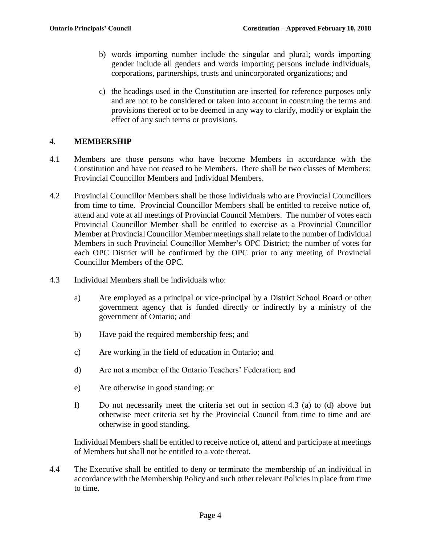- b) words importing number include the singular and plural; words importing gender include all genders and words importing persons include individuals, corporations, partnerships, trusts and unincorporated organizations; and
- c) the headings used in the Constitution are inserted for reference purposes only and are not to be considered or taken into account in construing the terms and provisions thereof or to be deemed in any way to clarify, modify or explain the effect of any such terms or provisions.

# 4. **MEMBERSHIP**

- 4.1 Members are those persons who have become Members in accordance with the Constitution and have not ceased to be Members. There shall be two classes of Members: Provincial Councillor Members and Individual Members.
- 4.2 Provincial Councillor Members shall be those individuals who are Provincial Councillors from time to time. Provincial Councillor Members shall be entitled to receive notice of, attend and vote at all meetings of Provincial Council Members. The number of votes each Provincial Councillor Member shall be entitled to exercise as a Provincial Councillor Member at Provincial Councillor Member meetings shall relate to the number of Individual Members in such Provincial Councillor Member's OPC District; the number of votes for each OPC District will be confirmed by the OPC prior to any meeting of Provincial Councillor Members of the OPC.
- 4.3 Individual Members shall be individuals who:
	- a) Are employed as a principal or vice-principal by a District School Board or other government agency that is funded directly or indirectly by a ministry of the government of Ontario; and
	- b) Have paid the required membership fees; and
	- c) Are working in the field of education in Ontario; and
	- d) Are not a member of the Ontario Teachers' Federation; and
	- e) Are otherwise in good standing; or
	- f) Do not necessarily meet the criteria set out in section 4.3 (a) to (d) above but otherwise meet criteria set by the Provincial Council from time to time and are otherwise in good standing.

Individual Members shall be entitled to receive notice of, attend and participate at meetings of Members but shall not be entitled to a vote thereat.

4.4 The Executive shall be entitled to deny or terminate the membership of an individual in accordance with the Membership Policy and such other relevant Policies in place from time to time.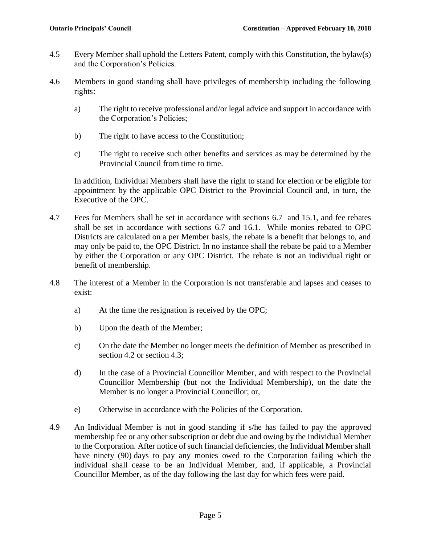- 4.5 Every Member shall uphold the Letters Patent, comply with this Constitution, the bylaw(s) and the Corporation's Policies.
- 4.6 Members in good standing shall have privileges of membership including the following rights:
	- a) The right to receive professional and/or legal advice and support in accordance with the Corporation's Policies;
	- b) The right to have access to the Constitution;
	- c) The right to receive such other benefits and services as may be determined by the Provincial Council from time to time.

In addition, Individual Members shall have the right to stand for election or be eligible for appointment by the applicable OPC District to the Provincial Council and, in turn, the Executive of the OPC.

- 4.7 Fees for Members shall be set in accordance with sections 6.7 and 15.1, and fee rebates shall be set in accordance with sections 6.7 and [16.](#page-14-0)1. While monies rebated to OPC Districts are calculated on a per Member basis, the rebate is a benefit that belongs to, and may only be paid to, the OPC District. In no instance shall the rebate be paid to a Member by either the Corporation or any OPC District. The rebate is not an individual right or benefit of membership.
- 4.8 The interest of a Member in the Corporation is not transferable and lapses and ceases to exist:
	- a) At the time the resignation is received by the OPC;
	- b) Upon the death of the Member;
	- c) On the date the Member no longer meets the definition of Member as prescribed in section 4.2 or section 4.3;
	- d) In the case of a Provincial Councillor Member, and with respect to the Provincial Councillor Membership (but not the Individual Membership), on the date the Member is no longer a Provincial Councillor; or,
	- e) Otherwise in accordance with the Policies of the Corporation.
- 4.9 An Individual Member is not in good standing if s/he has failed to pay the approved membership fee or any other subscription or debt due and owing by the Individual Member to the Corporation. After notice of such financial deficiencies, the Individual Member shall have ninety (90) days to pay any monies owed to the Corporation failing which the individual shall cease to be an Individual Member, and, if applicable, a Provincial Councillor Member, as of the day following the last day for which fees were paid.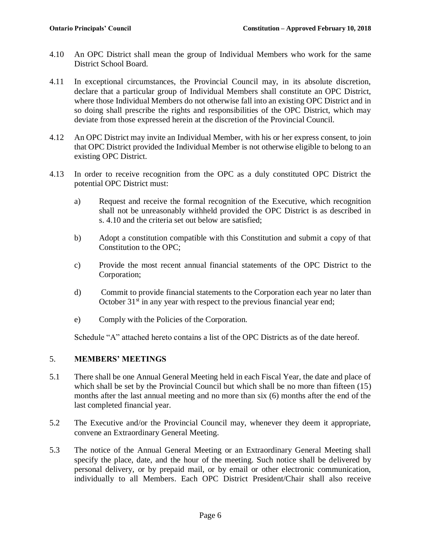- <span id="page-5-0"></span>4.10 An OPC District shall mean the group of Individual Members who work for the same District School Board.
- 4.11 In exceptional circumstances, the Provincial Council may, in its absolute discretion, declare that a particular group of Individual Members shall constitute an OPC District, where those Individual Members do not otherwise fall into an existing OPC District and in so doing shall prescribe the rights and responsibilities of the OPC District, which may deviate from those expressed herein at the discretion of the Provincial Council.
- 4.12 An OPC District may invite an Individual Member, with his or her express consent, to join that OPC District provided the Individual Member is not otherwise eligible to belong to an existing OPC District.
- <span id="page-5-1"></span>4.13 In order to receive recognition from the OPC as a duly constituted OPC District the potential OPC District must:
	- a) Request and receive the formal recognition of the Executive, which recognition shall not be unreasonably withheld provided the OPC District is as described in s. [4.10](#page-5-0) and the criteria set out below are satisfied;
	- b) Adopt a constitution compatible with this Constitution and submit a copy of that Constitution to the OPC;
	- c) Provide the most recent annual financial statements of the OPC District to the Corporation;
	- d) Commit to provide financial statements to the Corporation each year no later than October  $31<sup>st</sup>$  in any year with respect to the previous financial year end;
	- e) Comply with the Policies of the Corporation.

Schedule "A" attached hereto contains a list of the OPC Districts as of the date hereof.

#### 5. **MEMBERS' MEETINGS**

- 5.1 There shall be one Annual General Meeting held in each Fiscal Year, the date and place of which shall be set by the Provincial Council but which shall be no more than fifteen (15) months after the last annual meeting and no more than six (6) months after the end of the last completed financial year.
- 5.2 The Executive and/or the Provincial Council may, whenever they deem it appropriate, convene an Extraordinary General Meeting.
- 5.3 The notice of the Annual General Meeting or an Extraordinary General Meeting shall specify the place, date, and the hour of the meeting. Such notice shall be delivered by personal delivery, or by prepaid mail, or by email or other electronic communication, individually to all Members. Each OPC District President/Chair shall also receive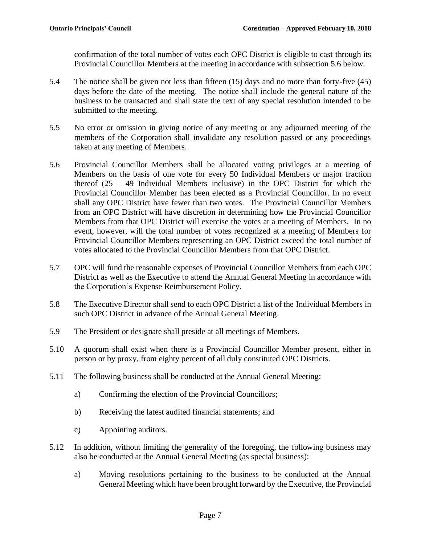confirmation of the total number of votes each OPC District is eligible to cast through its Provincial Councillor Members at the meeting in accordance with subsection [5.6](#page-6-0) below.

- 5.4 The notice shall be given not less than fifteen (15) days and no more than forty-five (45) days before the date of the meeting. The notice shall include the general nature of the business to be transacted and shall state the text of any special resolution intended to be submitted to the meeting.
- 5.5 No error or omission in giving notice of any meeting or any adjourned meeting of the members of the Corporation shall invalidate any resolution passed or any proceedings taken at any meeting of Members.
- <span id="page-6-0"></span>5.6 Provincial Councillor Members shall be allocated voting privileges at a meeting of Members on the basis of one vote for every 50 Individual Members or major fraction thereof (25 – 49 Individual Members inclusive) in the OPC District for which the Provincial Councillor Member has been elected as a Provincial Councillor. In no event shall any OPC District have fewer than two votes. The Provincial Councillor Members from an OPC District will have discretion in determining how the Provincial Councillor Members from that OPC District will exercise the votes at a meeting of Members. In no event, however, will the total number of votes recognized at a meeting of Members for Provincial Councillor Members representing an OPC District exceed the total number of votes allocated to the Provincial Councillor Members from that OPC District.
- 5.7 OPC will fund the reasonable expenses of Provincial Councillor Members from each OPC District as well as the Executive to attend the Annual General Meeting in accordance with the Corporation's Expense Reimbursement Policy.
- 5.8 The Executive Director shall send to each OPC District a list of the Individual Members in such OPC District in advance of the Annual General Meeting.
- 5.9 The President or designate shall preside at all meetings of Members.
- 5.10 A quorum shall exist when there is a Provincial Councillor Member present, either in person or by proxy, from eighty percent of all duly constituted OPC Districts.
- 5.11 The following business shall be conducted at the Annual General Meeting:
	- a) Confirming the election of the Provincial Councillors;
	- b) Receiving the latest audited financial statements; and
	- c) Appointing auditors.
- 5.12 In addition, without limiting the generality of the foregoing, the following business may also be conducted at the Annual General Meeting (as special business):
	- a) Moving resolutions pertaining to the business to be conducted at the Annual General Meeting which have been brought forward by the Executive, the Provincial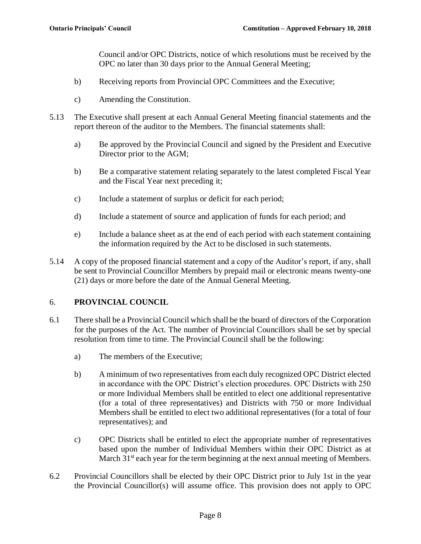Council and/or OPC Districts, notice of which resolutions must be received by the OPC no later than 30 days prior to the Annual General Meeting;

- b) Receiving reports from Provincial OPC Committees and the Executive;
- c) Amending the Constitution.
- 5.13 The Executive shall present at each Annual General Meeting financial statements and the report thereon of the auditor to the Members. The financial statements shall:
	- a) Be approved by the Provincial Council and signed by the President and Executive Director prior to the AGM;
	- b) Be a comparative statement relating separately to the latest completed Fiscal Year and the Fiscal Year next preceding it;
	- c) Include a statement of surplus or deficit for each period;
	- d) Include a statement of source and application of funds for each period; and
	- e) Include a balance sheet as at the end of each period with each statement containing the information required by the Act to be disclosed in such statements.
- 5.14 A copy of the proposed financial statement and a copy of the Auditor's report, if any, shall be sent to Provincial Councillor Members by prepaid mail or electronic means twenty-one (21) days or more before the date of the Annual General Meeting.

## 6. **PROVINCIAL COUNCIL**

- 6.1 There shall be a Provincial Council which shall be the board of directors of the Corporation for the purposes of the Act. The number of Provincial Councillors shall be set by special resolution from time to time. The Provincial Council shall be the following:
	- a) The members of the Executive;
	- b) A minimum of two representatives from each duly recognized OPC District elected in accordance with the OPC District's election procedures. OPC Districts with 250 or more Individual Members shall be entitled to elect one additional representative (for a total of three representatives) and Districts with 750 or more Individual Members shall be entitled to elect two additional representatives (for a total of four representatives); and
	- c) OPC Districts shall be entitled to elect the appropriate number of representatives based upon the number of Individual Members within their OPC District as at March  $31<sup>st</sup>$  each year for the term beginning at the next annual meeting of Members.
- 6.2 Provincial Councillors shall be elected by their OPC District prior to July 1st in the year the Provincial Councillor(s) will assume office. This provision does not apply to OPC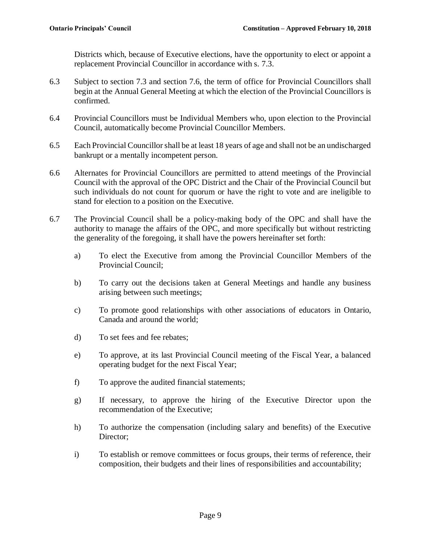Districts which, because of Executive elections, have the opportunity to elect or appoint a replacement Provincial Councillor in accordance with s. [7.3.](#page-9-1)

- 6.3 Subject to section 7.3 and section 7.6, the term of office for Provincial Councillors shall begin at the Annual General Meeting at which the election of the Provincial Councillors is confirmed.
- 6.4 Provincial Councillors must be Individual Members who, upon election to the Provincial Council, automatically become Provincial Councillor Members.
- 6.5 Each Provincial Councillor shall be at least 18 years of age and shall not be an undischarged bankrupt or a mentally incompetent person.
- 6.6 Alternates for Provincial Councillors are permitted to attend meetings of the Provincial Council with the approval of the OPC District and the Chair of the Provincial Council but such individuals do not count for quorum or have the right to vote and are ineligible to stand for election to a position on the Executive.
- 6.7 The Provincial Council shall be a policy-making body of the OPC and shall have the authority to manage the affairs of the OPC, and more specifically but without restricting the generality of the foregoing, it shall have the powers hereinafter set forth:
	- a) To elect the Executive from among the Provincial Councillor Members of the Provincial Council;
	- b) To carry out the decisions taken at General Meetings and handle any business arising between such meetings;
	- c) To promote good relationships with other associations of educators in Ontario, Canada and around the world;
	- d) To set fees and fee rebates;
	- e) To approve, at its last Provincial Council meeting of the Fiscal Year, a balanced operating budget for the next Fiscal Year;
	- f) To approve the audited financial statements;
	- g) If necessary, to approve the hiring of the Executive Director upon the recommendation of the Executive;
	- h) To authorize the compensation (including salary and benefits) of the Executive Director;
	- i) To establish or remove committees or focus groups, their terms of reference, their composition, their budgets and their lines of responsibilities and accountability;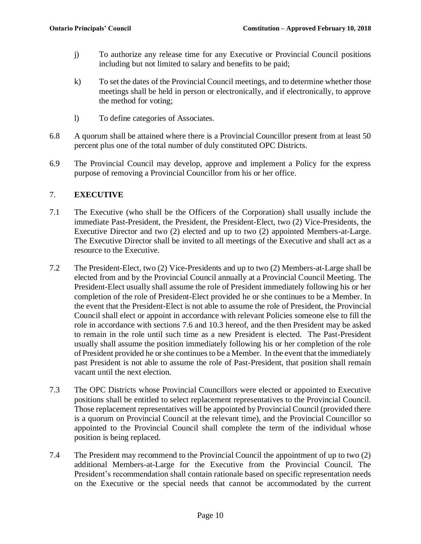- j) To authorize any release time for any Executive or Provincial Council positions including but not limited to salary and benefits to be paid;
- k) To set the dates of the Provincial Council meetings, and to determine whether those meetings shall be held in person or electronically, and if electronically, to approve the method for voting;
- l) To define categories of Associates.
- 6.8 A quorum shall be attained where there is a Provincial Councillor present from at least 50 percent plus one of the total number of duly constituted OPC Districts.
- 6.9 The Provincial Council may develop, approve and implement a Policy for the express purpose of removing a Provincial Councillor from his or her office.

# 7. **EXECUTIVE**

- <span id="page-9-0"></span>7.1 The Executive (who shall be the Officers of the Corporation) shall usually include the immediate Past-President, the President, the President-Elect, two (2) Vice-Presidents, the Executive Director and two (2) elected and up to two (2) appointed Members-at-Large. The Executive Director shall be invited to all meetings of the Executive and shall act as a resource to the Executive.
- 7.2 The President-Elect, two (2) Vice-Presidents and up to two (2) Members-at-Large shall be elected from and by the Provincial Council annually at a Provincial Council Meeting. The President-Elect usually shall assume the role of President immediately following his or her completion of the role of President-Elect provided he or she continues to be a Member. In the event that the President-Elect is not able to assume the role of President, the Provincial Council shall elect or appoint in accordance with relevant Policies someone else to fill the role in accordance with sections 7.6 and 10.3 hereof, and the then President may be asked to remain in the role until such time as a new President is elected. The Past-President usually shall assume the position immediately following his or her completion of the role of President provided he or she continues to be a Member. In the event that the immediately past President is not able to assume the role of Past-President, that position shall remain vacant until the next election.
- <span id="page-9-1"></span>7.3 The OPC Districts whose Provincial Councillors were elected or appointed to Executive positions shall be entitled to select replacement representatives to the Provincial Council. Those replacement representatives will be appointed by Provincial Council (provided there is a quorum on Provincial Council at the relevant time), and the Provincial Councillor so appointed to the Provincial Council shall complete the term of the individual whose position is being replaced.
- 7.4 The President may recommend to the Provincial Council the appointment of up to two (2) additional Members-at-Large for the Executive from the Provincial Council. The President's recommendation shall contain rationale based on specific representation needs on the Executive or the special needs that cannot be accommodated by the current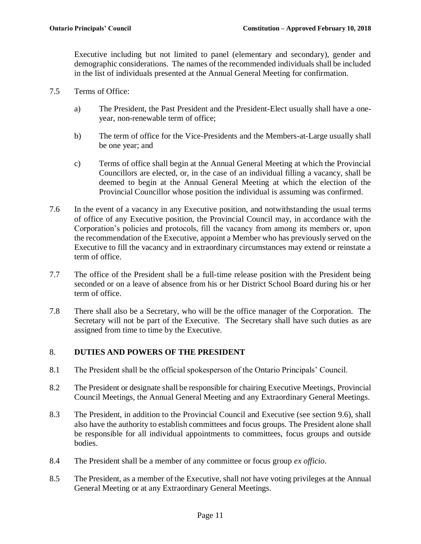Executive including but not limited to panel (elementary and secondary), gender and demographic considerations. The names of the recommended individuals shall be included in the list of individuals presented at the Annual General Meeting for confirmation.

- 7.5 Terms of Office:
	- a) The President, the Past President and the President-Elect usually shall have a oneyear, non-renewable term of office;
	- b) The term of office for the Vice-Presidents and the Members-at-Large usually shall be one year; and
	- c) Terms of office shall begin at the Annual General Meeting at which the Provincial Councillors are elected, or, in the case of an individual filling a vacancy, shall be deemed to begin at the Annual General Meeting at which the election of the Provincial Councillor whose position the individual is assuming was confirmed.
- 7.6 In the event of a vacancy in any Executive position, and notwithstanding the usual terms of office of any Executive position, the Provincial Council may, in accordance with the Corporation's policies and protocols, fill the vacancy from among its members or, upon the recommendation of the Executive, appoint a Member who has previously served on the Executive to fill the vacancy and in extraordinary circumstances may extend or reinstate a term of office.
- 7.7 The office of the President shall be a full-time release position with the President being seconded or on a leave of absence from his or her District School Board during his or her term of office.
- 7.8 There shall also be a Secretary, who will be the office manager of the Corporation. The Secretary will not be part of the Executive. The Secretary shall have such duties as are assigned from time to time by the Executive.

## 8. **DUTIES AND POWERS OF THE PRESIDENT**

- 8.1 The President shall be the official spokesperson of the Ontario Principals' Council.
- 8.2 The President or designate shall be responsible for chairing Executive Meetings, Provincial Council Meetings, the Annual General Meeting and any Extraordinary General Meetings.
- 8.3 The President, in addition to the Provincial Council and Executive (see section 9.6), shall also have the authority to establish committees and focus groups. The President alone shall be responsible for all individual appointments to committees, focus groups and outside bodies.
- 8.4 The President shall be a member of any committee or focus group *ex officio*.
- 8.5 The President, as a member of the Executive, shall not have voting privileges at the Annual General Meeting or at any Extraordinary General Meetings.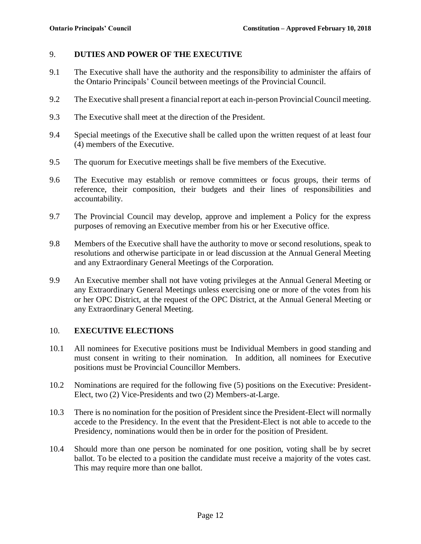#### 9. **DUTIES AND POWER OF THE EXECUTIVE**

- 9.1 The Executive shall have the authority and the responsibility to administer the affairs of the Ontario Principals' Council between meetings of the Provincial Council.
- 9.2 The Executive shall present a financial report at each in-person Provincial Council meeting.
- 9.3 The Executive shall meet at the direction of the President.
- 9.4 Special meetings of the Executive shall be called upon the written request of at least four (4) members of the Executive.
- 9.5 The quorum for Executive meetings shall be five members of the Executive.
- 9.6 The Executive may establish or remove committees or focus groups, their terms of reference, their composition, their budgets and their lines of responsibilities and accountability.
- 9.7 The Provincial Council may develop, approve and implement a Policy for the express purposes of removing an Executive member from his or her Executive office.
- 9.8 Members of the Executive shall have the authority to move or second resolutions, speak to resolutions and otherwise participate in or lead discussion at the Annual General Meeting and any Extraordinary General Meetings of the Corporation.
- 9.9 An Executive member shall not have voting privileges at the Annual General Meeting or any Extraordinary General Meetings unless exercising one or more of the votes from his or her OPC District, at the request of the OPC District, at the Annual General Meeting or any Extraordinary General Meeting.

#### 10. **EXECUTIVE ELECTIONS**

- 10.1 All nominees for Executive positions must be Individual Members in good standing and must consent in writing to their nomination. In addition, all nominees for Executive positions must be Provincial Councillor Members.
- 10.2 Nominations are required for the following five (5) positions on the Executive: President-Elect, two (2) Vice-Presidents and two (2) Members-at-Large.
- 10.3 There is no nomination for the position of President since the President-Elect will normally accede to the Presidency. In the event that the President-Elect is not able to accede to the Presidency, nominations would then be in order for the position of President.
- 10.4 Should more than one person be nominated for one position, voting shall be by secret ballot. To be elected to a position the candidate must receive a majority of the votes cast. This may require more than one ballot.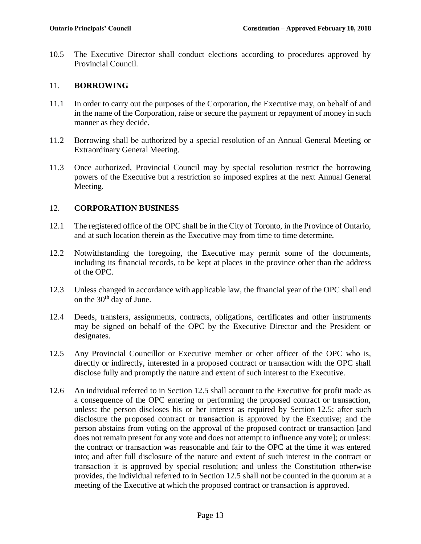10.5 The Executive Director shall conduct elections according to procedures approved by Provincial Council.

### 11. **BORROWING**

- 11.1 In order to carry out the purposes of the Corporation, the Executive may, on behalf of and in the name of the Corporation, raise or secure the payment or repayment of money in such manner as they decide.
- 11.2 Borrowing shall be authorized by a special resolution of an Annual General Meeting or Extraordinary General Meeting.
- 11.3 Once authorized, Provincial Council may by special resolution restrict the borrowing powers of the Executive but a restriction so imposed expires at the next Annual General Meeting.

## 12. **CORPORATION BUSINESS**

- 12.1 The registered office of the OPC shall be in the City of Toronto, in the Province of Ontario, and at such location therein as the Executive may from time to time determine.
- 12.2 Notwithstanding the foregoing, the Executive may permit some of the documents, including its financial records, to be kept at places in the province other than the address of the OPC.
- 12.3 Unless changed in accordance with applicable law, the financial year of the OPC shall end on the 30<sup>th</sup> day of June.
- 12.4 Deeds, transfers, assignments, contracts, obligations, certificates and other instruments may be signed on behalf of the OPC by the Executive Director and the President or designates.
- <span id="page-12-0"></span>12.5 Any Provincial Councillor or Executive member or other officer of the OPC who is, directly or indirectly, interested in a proposed contract or transaction with the OPC shall disclose fully and promptly the nature and extent of such interest to the Executive.
- 12.6 An individual referred to in Section [12.5](#page-12-0) shall account to the Executive for profit made as a consequence of the OPC entering or performing the proposed contract or transaction, unless: the person discloses his or her interest as required by Section [12.5;](#page-12-0) after such disclosure the proposed contract or transaction is approved by the Executive; and the person abstains from voting on the approval of the proposed contract or transaction [and does not remain present for any vote and does not attempt to influence any vote]; or unless: the contract or transaction was reasonable and fair to the OPC at the time it was entered into; and after full disclosure of the nature and extent of such interest in the contract or transaction it is approved by special resolution; and unless the Constitution otherwise provides, the individual referred to in Section [12.5](#page-12-0) shall not be counted in the quorum at a meeting of the Executive at which the proposed contract or transaction is approved.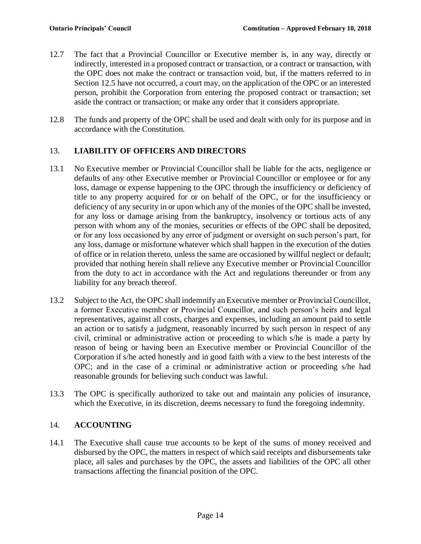- 12.7 The fact that a Provincial Councillor or Executive member is, in any way, directly or indirectly, interested in a proposed contract or transaction, or a contract or transaction, with the OPC does not make the contract or transaction void, but, if the matters referred to in Section [12.5](#page-12-0) have not occurred, a court may, on the application of the OPC or an interested person, prohibit the Corporation from entering the proposed contract or transaction; set aside the contract or transaction; or make any order that it considers appropriate.
- 12.8 The funds and property of the OPC shall be used and dealt with only for its purpose and in accordance with the Constitution.

# 13. **LIABILITY OF OFFICERS AND DIRECTORS**

- 13.1 No Executive member or Provincial Councillor shall be liable for the acts, negligence or defaults of any other Executive member or Provincial Councillor or employee or for any loss, damage or expense happening to the OPC through the insufficiency or deficiency of title to any property acquired for or on behalf of the OPC, or for the insufficiency or deficiency of any security in or upon which any of the monies of the OPC shall be invested, for any loss or damage arising from the bankruptcy, insolvency or tortious acts of any person with whom any of the monies, securities or effects of the OPC shall be deposited, or for any loss occasioned by any error of judgment or oversight on such person's part, for any loss, damage or misfortune whatever which shall happen in the execution of the duties of office or in relation thereto, unless the same are occasioned by willful neglect or default; provided that nothing herein shall relieve any Executive member or Provincial Councillor from the duty to act in accordance with the Act and regulations thereunder or from any liability for any breach thereof.
- 13.2 Subject to the Act, the OPC shall indemnify an Executive member or Provincial Councillor, a former Executive member or Provincial Councillor, and such person's heirs and legal representatives, against all costs, charges and expenses, including an amount paid to settle an action or to satisfy a judgment, reasonably incurred by such person in respect of any civil, criminal or administrative action or proceeding to which s/he is made a party by reason of being or having been an Executive member or Provincial Councillor of the Corporation if s/he acted honestly and in good faith with a view to the best interests of the OPC; and in the case of a criminal or administrative action or proceeding s/he had reasonable grounds for believing such conduct was lawful.
- 13.3 The OPC is specifically authorized to take out and maintain any policies of insurance, which the Executive, in its discretion, deems necessary to fund the foregoing indemnity.

## 14. **ACCOUNTING**

14.1 The Executive shall cause true accounts to be kept of the sums of money received and disbursed by the OPC, the matters in respect of which said receipts and disbursements take place, all sales and purchases by the OPC, the assets and liabilities of the OPC all other transactions affecting the financial position of the OPC.